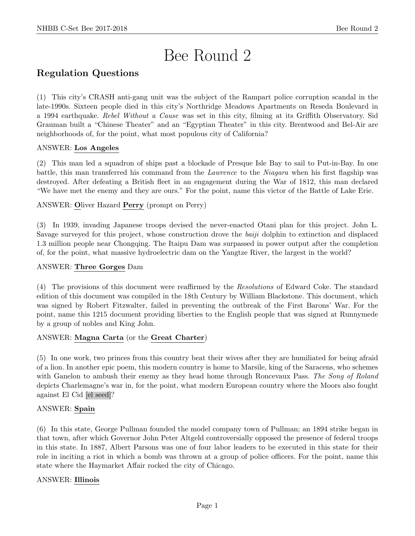# Bee Round 2

# Regulation Questions

(1) This city's CRASH anti-gang unit was the subject of the Rampart police corruption scandal in the late-1990s. Sixteen people died in this city's Northridge Meadows Apartments on Reseda Boulevard in a 1994 earthquake. Rebel Without a Cause was set in this city, filming at its Griffith Observatory. Sid Grauman built a "Chinese Theater" and an "Egyptian Theater" in this city. Brentwood and Bel-Air are neighborhoods of, for the point, what most populous city of California?

# ANSWER: Los Angeles

(2) This man led a squadron of ships past a blockade of Presque Isle Bay to sail to Put-in-Bay. In one battle, this man transferred his command from the Lawrence to the Niagara when his first flagship was destroyed. After defeating a British fleet in an engagement during the War of 1812, this man declared "We have met the enemy and they are ours." For the point, name this victor of the Battle of Lake Erie.

ANSWER: Oliver Hazard Perry (prompt on Perry)

(3) In 1939, invading Japanese troops devised the never-enacted Otani plan for this project. John L. Savage surveyed for this project, whose construction drove the baiji dolphin to extinction and displaced 1.3 million people near Chongqing. The Itaipu Dam was surpassed in power output after the completion of, for the point, what massive hydroelectric dam on the Yangtze River, the largest in the world?

# ANSWER: Three Gorges Dam

(4) The provisions of this document were reaffirmed by the Resolutions of Edward Coke. The standard edition of this document was compiled in the 18th Century by William Blackstone. This document, which was signed by Robert Fitzwalter, failed in preventing the outbreak of the First Barons' War. For the point, name this 1215 document providing liberties to the English people that was signed at Runnymede by a group of nobles and King John.

# ANSWER: Magna Carta (or the Great Charter)

(5) In one work, two princes from this country beat their wives after they are humiliated for being afraid of a lion. In another epic poem, this modern country is home to Marsile, king of the Saracens, who schemes with Ganelon to ambush their enemy as they head home through Roncevaux Pass. The Song of Roland depicts Charlemagne's war in, for the point, what modern European country where the Moors also fought against El Cid [el seed]?

# ANSWER: Spain

(6) In this state, George Pullman founded the model company town of Pullman; an 1894 strike began in that town, after which Governor John Peter Altgeld controversially opposed the presence of federal troops in this state. In 1887, Albert Parsons was one of four labor leaders to be executed in this state for their role in inciting a riot in which a bomb was thrown at a group of police officers. For the point, name this state where the Haymarket Affair rocked the city of Chicago.

# ANSWER: Illinois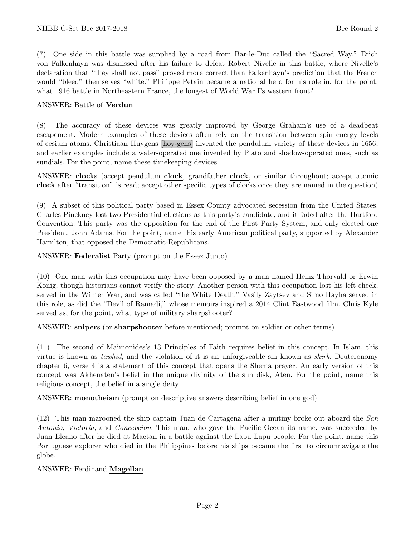(7) One side in this battle was supplied by a road from Bar-le-Duc called the "Sacred Way." Erich von Falkenhayn was dismissed after his failure to defeat Robert Nivelle in this battle, where Nivelle's declaration that "they shall not pass" proved more correct than Falkenhayn's prediction that the French would "bleed" themselves "white." Philippe Petain became a national hero for his role in, for the point, what 1916 battle in Northeastern France, the longest of World War I's western front?

#### ANSWER: Battle of Verdun

(8) The accuracy of these devices was greatly improved by George Graham's use of a deadbeat escapement. Modern examples of these devices often rely on the transition between spin energy levels of cesium atoms. Christiaan Huygens [hoy-gens] invented the pendulum variety of these devices in 1656, and earlier examples include a water-operated one invented by Plato and shadow-operated ones, such as sundials. For the point, name these timekeeping devices.

ANSWER: clocks (accept pendulum clock, grandfather clock, or similar throughout; accept atomic clock after "transition" is read; accept other specific types of clocks once they are named in the question)

(9) A subset of this political party based in Essex County advocated secession from the United States. Charles Pinckney lost two Presidential elections as this party's candidate, and it faded after the Hartford Convention. This party was the opposition for the end of the First Party System, and only elected one President, John Adams. For the point, name this early American political party, supported by Alexander Hamilton, that opposed the Democratic-Republicans.

ANSWER: Federalist Party (prompt on the Essex Junto)

(10) One man with this occupation may have been opposed by a man named Heinz Thorvald or Erwin Konig, though historians cannot verify the story. Another person with this occupation lost his left cheek, served in the Winter War, and was called "the White Death." Vasily Zaytsev and Simo Hayha served in this role, as did the "Devil of Ramadi," whose memoirs inspired a 2014 Clint Eastwood film. Chris Kyle served as, for the point, what type of military sharpshooter?

ANSWER: snipers (or sharpshooter before mentioned; prompt on soldier or other terms)

(11) The second of Maimonides's 13 Principles of Faith requires belief in this concept. In Islam, this virtue is known as *tawhid*, and the violation of it is an unforgiveable sin known as *shirk*. Deuteronomy chapter 6, verse 4 is a statement of this concept that opens the Shema prayer. An early version of this concept was Akhenaten's belief in the unique divinity of the sun disk, Aten. For the point, name this religious concept, the belief in a single deity.

ANSWER: monotheism (prompt on descriptive answers describing belief in one god)

(12) This man marooned the ship captain Juan de Cartagena after a mutiny broke out aboard the San Antonio, Victoria, and Concepcion. This man, who gave the Pacific Ocean its name, was succeeded by Juan Elcano after he died at Mactan in a battle against the Lapu Lapu people. For the point, name this Portuguese explorer who died in the Philippines before his ships became the first to circumnavigate the globe.

#### ANSWER: Ferdinand Magellan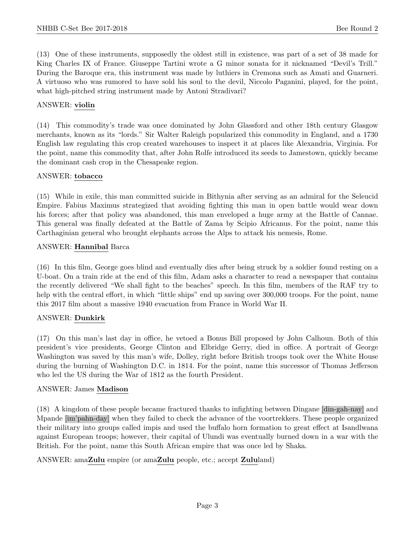(13) One of these instruments, supposedly the oldest still in existence, was part of a set of 38 made for King Charles IX of France. Giuseppe Tartini wrote a G minor sonata for it nicknamed "Devil's Trill." During the Baroque era, this instrument was made by luthiers in Cremona such as Amati and Guarneri. A virtuoso who was rumored to have sold his soul to the devil, Niccolo Paganini, played, for the point, what high-pitched string instrument made by Antoni Stradivari?

## ANSWER: violin

(14) This commodity's trade was once dominated by John Glassford and other 18th century Glasgow merchants, known as its "lords." Sir Walter Raleigh popularized this commodity in England, and a 1730 English law regulating this crop created warehouses to inspect it at places like Alexandria, Virginia. For the point, name this commodity that, after John Rolfe introduced its seeds to Jamestown, quickly became the dominant cash crop in the Chesapeake region.

#### ANSWER: tobacco

(15) While in exile, this man committed suicide in Bithynia after serving as an admiral for the Seleucid Empire. Fabius Maximus strategized that avoiding fighting this man in open battle would wear down his forces; after that policy was abandoned, this man enveloped a huge army at the Battle of Cannae. This general was finally defeated at the Battle of Zama by Scipio Africanus. For the point, name this Carthaginian general who brought elephants across the Alps to attack his nemesis, Rome.

#### ANSWER: Hannibal Barca

(16) In this film, George goes blind and eventually dies after being struck by a soldier found resting on a U-boat. On a train ride at the end of this film, Adam asks a character to read a newspaper that contains the recently delivered "We shall fight to the beaches" speech. In this film, members of the RAF try to help with the central effort, in which "little ships" end up saving over 300,000 troops. For the point, name this 2017 film about a massive 1940 evacuation from France in World War II.

# ANSWER: Dunkirk

(17) On this man's last day in office, he vetoed a Bonus Bill proposed by John Calhoun. Both of this president's vice presidents, George Clinton and Elbridge Gerry, died in office. A portrait of George Washington was saved by this man's wife, Dolley, right before British troops took over the White House during the burning of Washington D.C. in 1814. For the point, name this successor of Thomas Jefferson who led the US during the War of 1812 as the fourth President.

#### ANSWER: James Madison

(18) A kingdom of these people became fractured thanks to infighting between Dingane [din-gah-nay] and Mpande [im'pahn-day] when they failed to check the advance of the voortrekkers. These people organized their military into groups called impis and used the buffalo horn formation to great effect at Isandlwana against European troops; however, their capital of Ulundi was eventually burned down in a war with the British. For the point, name this South African empire that was once led by Shaka.

# ANSWER: amaZulu empire (or amaZulu people, etc.; accept Zululand)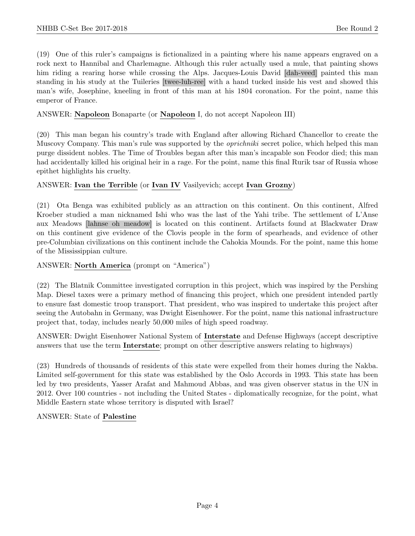(19) One of this ruler's campaigns is fictionalized in a painting where his name appears engraved on a rock next to Hannibal and Charlemagne. Although this ruler actually used a mule, that painting shows him riding a rearing horse while crossing the Alps. Jacques-Louis David [dah-veed] painted this man standing in his study at the Tuileries [twee-luh-ree] with a hand tucked inside his vest and showed this man's wife, Josephine, kneeling in front of this man at his 1804 coronation. For the point, name this emperor of France.

## ANSWER: Napoleon Bonaparte (or Napoleon I, do not accept Napoleon III)

(20) This man began his country's trade with England after allowing Richard Chancellor to create the Muscovy Company. This man's rule was supported by the *oprichniki* secret police, which helped this man purge dissident nobles. The Time of Troubles began after this man's incapable son Feodor died; this man had accidentally killed his original heir in a rage. For the point, name this final Rurik tsar of Russia whose epithet highlights his cruelty.

#### ANSWER: Ivan the Terrible (or Ivan IV Vasilyevich; accept Ivan Grozny)

(21) Ota Benga was exhibited publicly as an attraction on this continent. On this continent, Alfred Kroeber studied a man nicknamed Ishi who was the last of the Yahi tribe. The settlement of L'Anse aux Meadows [lahnse oh meadow] is located on this continent. Artifacts found at Blackwater Draw on this continent give evidence of the Clovis people in the form of spearheads, and evidence of other pre-Columbian civilizations on this continent include the Cahokia Mounds. For the point, name this home of the Mississippian culture.

#### ANSWER: North America (prompt on "America")

(22) The Blatnik Committee investigated corruption in this project, which was inspired by the Pershing Map. Diesel taxes were a primary method of financing this project, which one president intended partly to ensure fast domestic troop transport. That president, who was inspired to undertake this project after seeing the Autobahn in Germany, was Dwight Eisenhower. For the point, name this national infrastructure project that, today, includes nearly 50,000 miles of high speed roadway.

ANSWER: Dwight Eisenhower National System of Interstate and Defense Highways (accept descriptive answers that use the term Interstate; prompt on other descriptive answers relating to highways)

(23) Hundreds of thousands of residents of this state were expelled from their homes during the Nakba. Limited self-government for this state was established by the Oslo Accords in 1993. This state has been led by two presidents, Yasser Arafat and Mahmoud Abbas, and was given observer status in the UN in 2012. Over 100 countries - not including the United States - diplomatically recognize, for the point, what Middle Eastern state whose territory is disputed with Israel?

ANSWER: State of Palestine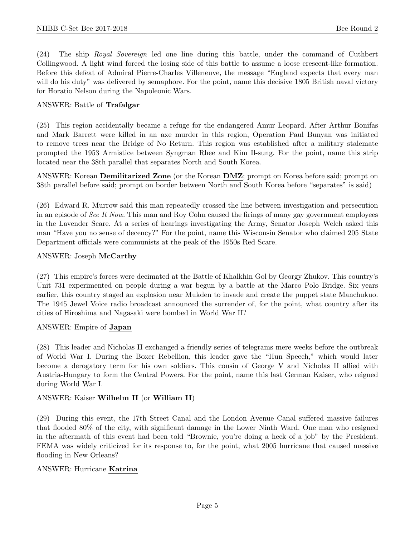(24) The ship Royal Sovereign led one line during this battle, under the command of Cuthbert Collingwood. A light wind forced the losing side of this battle to assume a loose crescent-like formation. Before this defeat of Admiral Pierre-Charles Villeneuve, the message "England expects that every man will do his duty" was delivered by semaphore. For the point, name this decisive 1805 British naval victory for Horatio Nelson during the Napoleonic Wars.

#### ANSWER: Battle of Trafalgar

(25) This region accidentally became a refuge for the endangered Amur Leopard. After Arthur Bonifas and Mark Barrett were killed in an axe murder in this region, Operation Paul Bunyan was initiated to remove trees near the Bridge of No Return. This region was established after a military stalemate prompted the 1953 Armistice between Syngman Rhee and Kim Il-sung. For the point, name this strip located near the 38th parallel that separates North and South Korea.

ANSWER: Korean **Demilitarized Zone** (or the Korean **DMZ**; prompt on Korea before said; prompt on 38th parallel before said; prompt on border between North and South Korea before "separates" is said)

(26) Edward R. Murrow said this man repeatedly crossed the line between investigation and persecution in an episode of See It Now. This man and Roy Cohn caused the firings of many gay government employees in the Lavender Scare. At a series of hearings investigating the Army, Senator Joseph Welch asked this man "Have you no sense of decency?" For the point, name this Wisconsin Senator who claimed 205 State Department officials were communists at the peak of the 1950s Red Scare.

#### ANSWER: Joseph McCarthy

(27) This empire's forces were decimated at the Battle of Khalkhin Gol by Georgy Zhukov. This country's Unit 731 experimented on people during a war begun by a battle at the Marco Polo Bridge. Six years earlier, this country staged an explosion near Mukden to invade and create the puppet state Manchukuo. The 1945 Jewel Voice radio broadcast announced the surrender of, for the point, what country after its cities of Hiroshima and Nagasaki were bombed in World War II?

#### ANSWER: Empire of Japan

(28) This leader and Nicholas II exchanged a friendly series of telegrams mere weeks before the outbreak of World War I. During the Boxer Rebellion, this leader gave the "Hun Speech," which would later become a derogatory term for his own soldiers. This cousin of George V and Nicholas II allied with Austria-Hungary to form the Central Powers. For the point, name this last German Kaiser, who reigned during World War I.

# ANSWER: Kaiser Wilhelm II (or William II)

(29) During this event, the 17th Street Canal and the London Avenue Canal suffered massive failures that flooded 80% of the city, with significant damage in the Lower Ninth Ward. One man who resigned in the aftermath of this event had been told "Brownie, you're doing a heck of a job" by the President. FEMA was widely criticized for its response to, for the point, what 2005 hurricane that caused massive flooding in New Orleans?

#### ANSWER: Hurricane Katrina